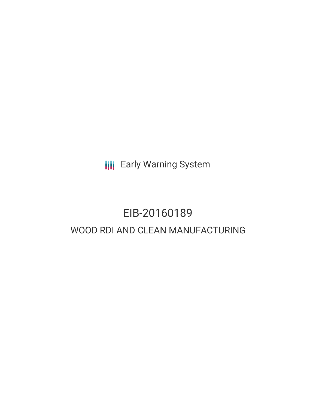**III** Early Warning System

# EIB-20160189 WOOD RDI AND CLEAN MANUFACTURING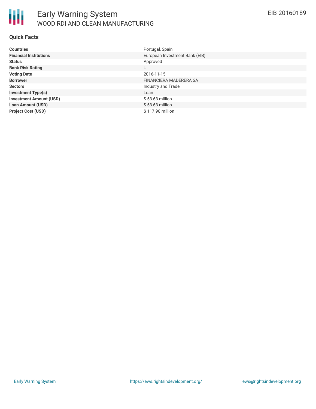

#### **Quick Facts**

| <b>Countries</b>               | Portugal, Spain                |
|--------------------------------|--------------------------------|
| <b>Financial Institutions</b>  | European Investment Bank (EIB) |
| <b>Status</b>                  | Approved                       |
| <b>Bank Risk Rating</b>        | U                              |
| <b>Voting Date</b>             | 2016-11-15                     |
| <b>Borrower</b>                | FINANCIERA MADERERA SA         |
| <b>Sectors</b>                 | Industry and Trade             |
| <b>Investment Type(s)</b>      | Loan                           |
| <b>Investment Amount (USD)</b> | $$53.63$ million               |
| <b>Loan Amount (USD)</b>       | $$53.63$ million               |
| <b>Project Cost (USD)</b>      | \$117.98 million               |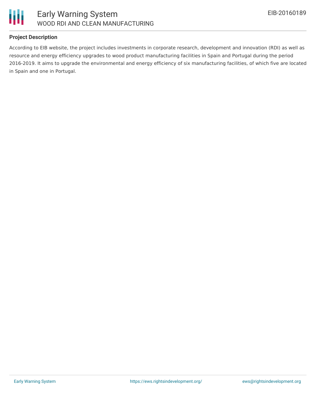

### **Project Description**

According to EIB website, the project includes investments in corporate research, development and innovation (RDI) as well as resource and energy efficiency upgrades to wood product manufacturing facilities in Spain and Portugal during the period 2016-2019. It aims to upgrade the environmental and energy efficiency of six manufacturing facilities, of which five are located in Spain and one in Portugal.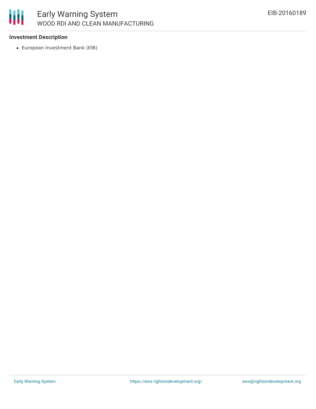

#### **Investment Description**

European Investment Bank (EIB)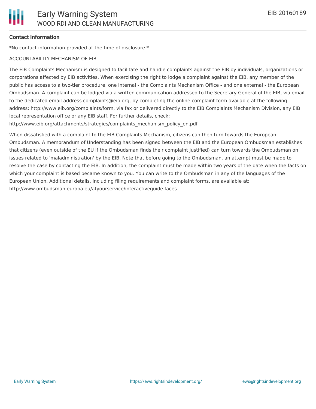#### **Contact Information**

\*No contact information provided at the time of disclosure.\*

#### ACCOUNTABILITY MECHANISM OF EIB

The EIB Complaints Mechanism is designed to facilitate and handle complaints against the EIB by individuals, organizations or corporations affected by EIB activities. When exercising the right to lodge a complaint against the EIB, any member of the public has access to a two-tier procedure, one internal - the Complaints Mechanism Office - and one external - the European Ombudsman. A complaint can be lodged via a written communication addressed to the Secretary General of the EIB, via email to the dedicated email address complaints@eib.org, by completing the online complaint form available at the following address: http://www.eib.org/complaints/form, via fax or delivered directly to the EIB Complaints Mechanism Division, any EIB local representation office or any EIB staff. For further details, check:

http://www.eib.org/attachments/strategies/complaints\_mechanism\_policy\_en.pdf

When dissatisfied with a complaint to the EIB Complaints Mechanism, citizens can then turn towards the European Ombudsman. A memorandum of Understanding has been signed between the EIB and the European Ombudsman establishes that citizens (even outside of the EU if the Ombudsman finds their complaint justified) can turn towards the Ombudsman on issues related to 'maladministration' by the EIB. Note that before going to the Ombudsman, an attempt must be made to resolve the case by contacting the EIB. In addition, the complaint must be made within two years of the date when the facts on which your complaint is based became known to you. You can write to the Ombudsman in any of the languages of the European Union. Additional details, including filing requirements and complaint forms, are available at: http://www.ombudsman.europa.eu/atyourservice/interactiveguide.faces